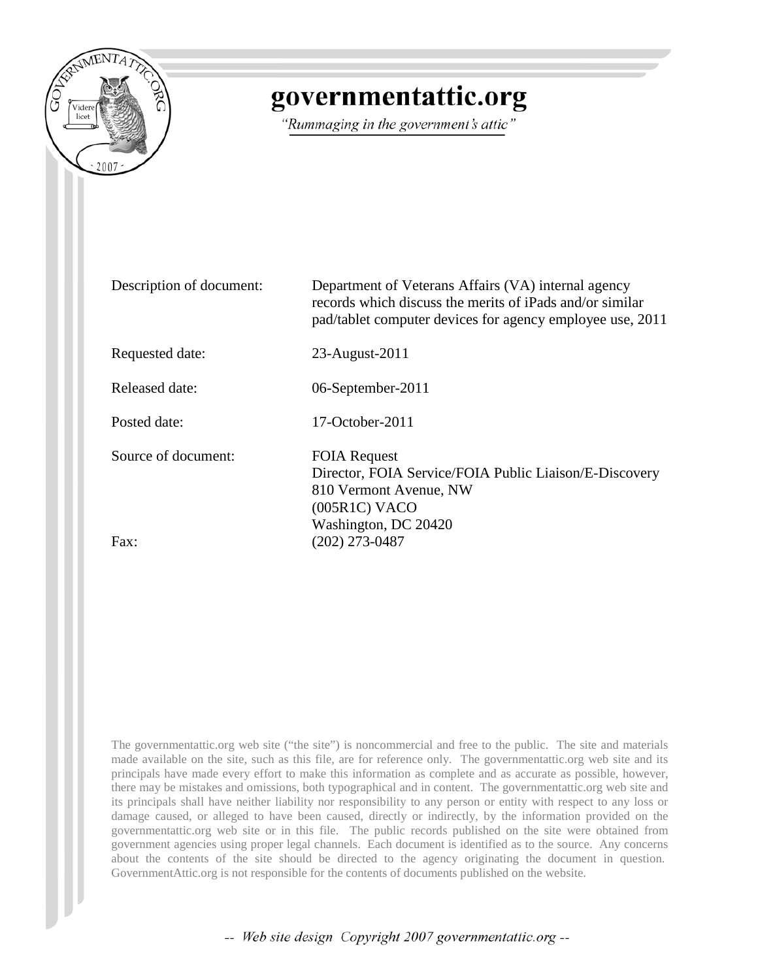

# governmentattic.org

"Rummaging in the government's attic"

| Description of document: | Department of Veterans Affairs (VA) internal agency<br>records which discuss the merits of iPads and/or similar<br>pad/tablet computer devices for agency employee use, 2011 |
|--------------------------|------------------------------------------------------------------------------------------------------------------------------------------------------------------------------|
| Requested date:          | 23-August-2011                                                                                                                                                               |
| Released date:           | 06-September-2011                                                                                                                                                            |
| Posted date:             | $17$ -October-2011                                                                                                                                                           |
| Source of document:      | <b>FOIA Request</b><br>Director, FOIA Service/FOIA Public Liaison/E-Discovery<br>810 Vermont Avenue, NW<br>(005R1C) VACO<br>Washington, DC 20420                             |
| Fax:                     | (202) 273-0487                                                                                                                                                               |

The governmentattic.org web site ("the site") is noncommercial and free to the public. The site and materials made available on the site, such as this file, are for reference only. The governmentattic.org web site and its principals have made every effort to make this information as complete and as accurate as possible, however, there may be mistakes and omissions, both typographical and in content. The governmentattic.org web site and its principals shall have neither liability nor responsibility to any person or entity with respect to any loss or damage caused, or alleged to have been caused, directly or indirectly, by the information provided on the governmentattic.org web site or in this file. The public records published on the site were obtained from government agencies using proper legal channels. Each document is identified as to the source. Any concerns about the contents of the site should be directed to the agency originating the document in question. GovernmentAttic.org is not responsible for the contents of documents published on the website.

-- Web site design Copyright 2007 governmentattic.org --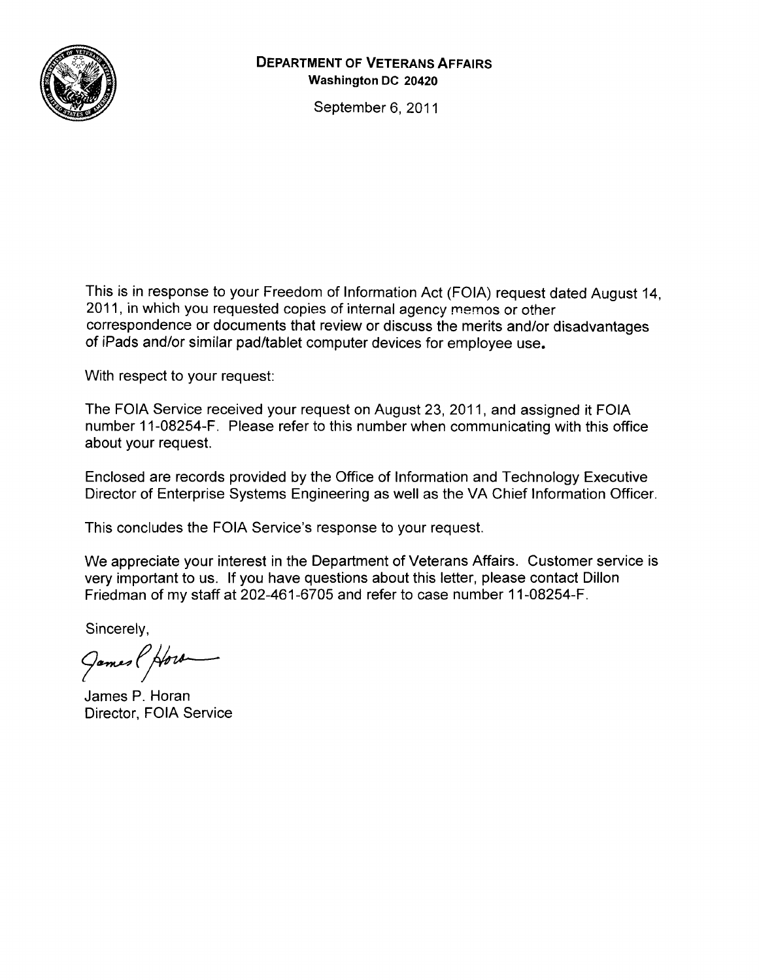

#### **DEPARTMENT OF VETERANS AFFAIRS Washington DC 20420**

September 6, 2011

This is in response to your Freedom of Information Act (FOIA) request dated August 14, 2011, in which you requested copies of internal agency memos or other correspondence or documents that review or discuss the merits and/or disadvantages of iPads and/or similar pad/tablet computer devices for employee use.

With respect to your request:

The FOIA Service received your request on August 23, 2011, and assigned it FOIA number 11-08254-F. Please refer to this number when communicating with this office about your request.

Enclosed are records provided by the Office of Information and Technology Executive Director of Enterprise Systems Engineering as well as the VA Chief Information Officer.

This concludes the FOIA Service's response to your request.

We appreciate your interest in the Department of Veterans Affairs. Customer service is very important to us. If you have questions about this letter, please contact Dillon Friedman of my staff at 202-461-6705 and refer to case number 11-08254-F.

Sincerely,

James (Horr

James P. Horan Director, FOIA Service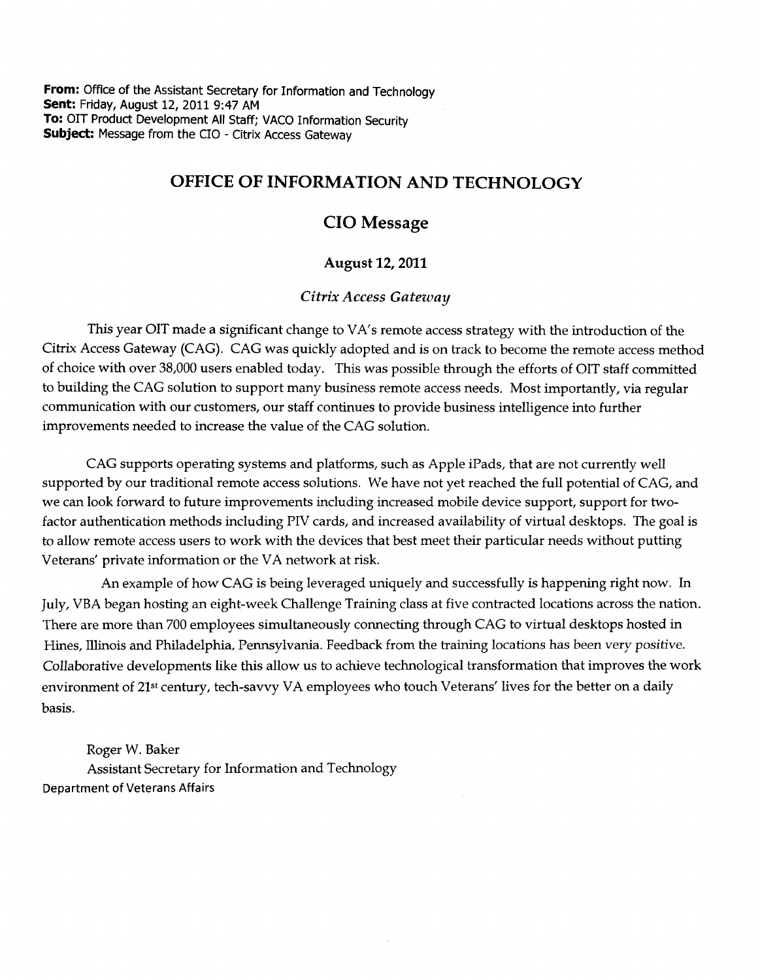**From:** Office of the Assistant Secretary for Information and Technology **Sent:** Friday, August 12, 2011 9:47AM **To:** OIT Product Development All Staff; VACO Information Security **Subject:** Message from the CIO - Citrix Access Gateway

### OFFICE OF INFORMATION AND TECHNOLOGY

### CIO Message

#### August 12, 2011

#### *Citrix Access Gateway*

This year OIT made a significant change to VA's remote access strategy with the introduction of the Citrix Access Gateway (CAG). CAG was quickly adopted and is on track to become the remote access method of choice with over 38,000 users enabled today. This was possible through the efforts of OIT staff committed to building the CAG solution to support many business remote access needs. Most importantly, via regular communication with our customers, our staff continues to provide business intelligence into further improvements needed to increase the value of the CAG solution.

CAG supports operating systems and platforms, such as Apple iPads, that are not currently well supported by our traditional remote access solutions. We have not yet reached the full potential of CAG, and we can look forward to future improvements including increased mobile device support, support for twofactor authentication methods including PIV cards, and increased availability of virtual desktops. The goal is to allow remote access users to work with the devices that best meet their particular needs without putting Veterans' private information or the VA network at risk.

An example of how CAG is being leveraged uniquely and successfully is happening right now. In July, VBA began hosting an eight-week Challenge Training class at five contracted locations across the nation. There are more than 700 employees simultaneously connecting through CAG to virtual desktops hosted in Hines, Illinois and Philadelphia, Pennsylvania. Feedback from the training locations has been very positive. Collaborative developments like this allow us to achieve technological transformation that improves the work environment of 21st century, tech-savvy VA employees who touch Veterans' lives for the better on a daily basis.

Roger W. Baker Assistant Secretary for Information and Technology Department of Veterans Affairs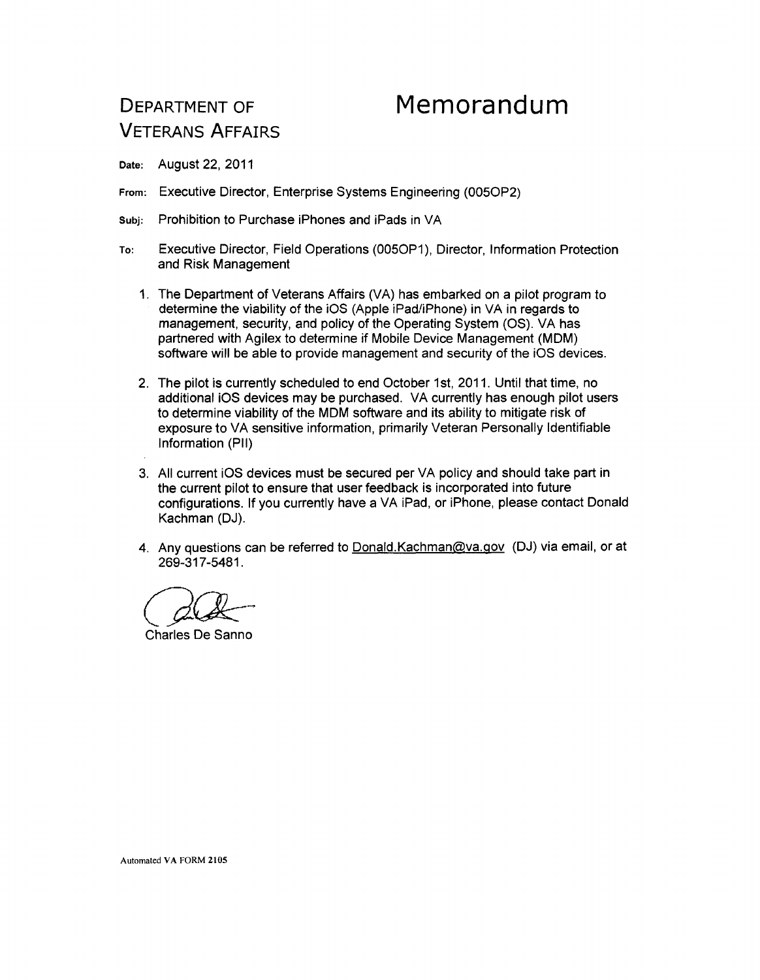## DEPARTMENT OF VETERANS AFFAIRS

# **Memorandum**

Date: August 22, 2011

- From: Executive Director, Enterprise Systems Engineering (0050P2)
- Subj: Prohibition to Purchase iPhones and iPads in VA
- To: Executive Director, Field Operations (0050P1 ), Director, Information Protection and Risk Management
	- 1. The Department of Veterans Affairs (VA) has embarked on a pilot program to determine the viability of the iOS (Apple iPad/iPhone) in VA in regards to management, security, and policy of the Operating System (OS). VA has partnered with Agilex to determine if Mobile Device Management (MDM) software will be able to provide management and security of the iOS devices.
	- 2. The pilot is currently scheduled to end October 1st, 2011. Until that time, no additional iOS devices may be purchased. VA currently has enough pilot users to determine viability of the MDM software and its ability to mitigate risk of exposure to VA sensitive information, primarily Veteran Personally Identifiable Information (PII)
	- 3. All current iOS devices must be secured per VA policy and should take part in the current pilot to ensure that user feedback is incorporated into future configurations. If you currently have a VA iPad, or iPhone, please contact Donald Kachman (DJ).
	- 4. Any questions can be referred to Donald. Kachman@va.gov (DJ) via email, or at 269-317-5481.

*GCJlc--*

Charles De Sanno

Automated VA FORM 2105